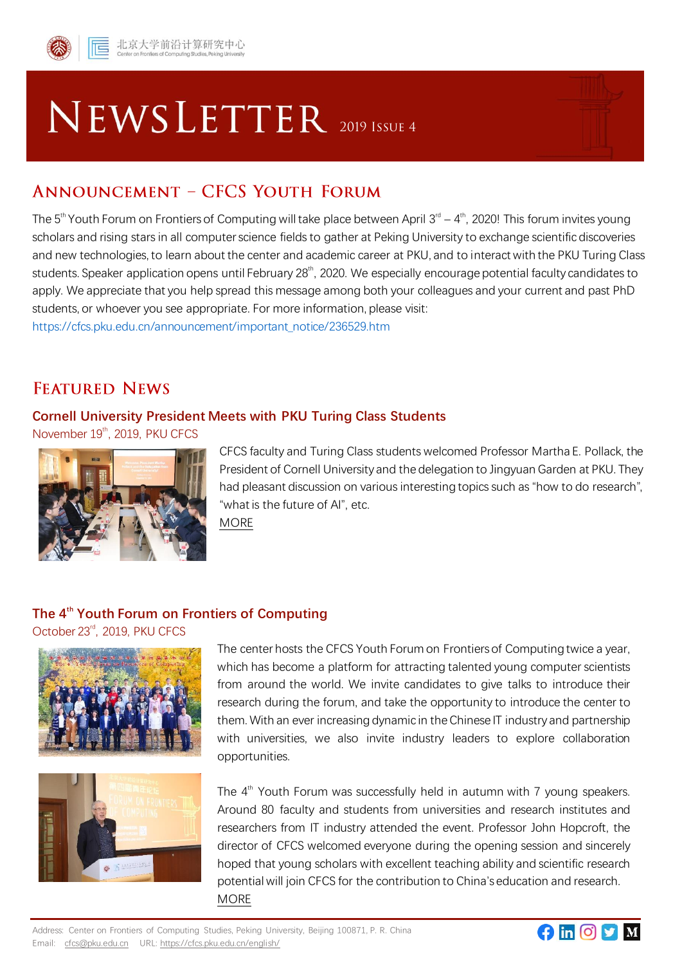

# **NEWSLETTER** 2019 ISSUE 4

## **ANNOUNCEMENT - CFCS YOUTH FORUM**

The 5<sup>th</sup> Youth Forum on Frontiers of Computing will take place between April 3<sup>rd</sup> – 4<sup>th</sup>, 2020! This forum invites young scholars and rising stars in all computer science fields to gather at Peking University to exchange scientific discoveries and new technologies, to learn about the center and academic career at PKU, and to interact with the PKU Turing Class students. Speaker application opens until February 28<sup>th</sup>, 2020. We especially encourage potential faculty candidates to apply. We appreciate that you help spread this message among both your colleagues and your current and past PhD students, or whoever you see appropriate. For more information, please visit: https://cfcs.pku.edu.cn/announcement/important\_notice/236529.htm

## **FEATURED NEWS**

#### **Cornell University President Meets with PKU Turing Class Students**

November 19<sup>th</sup>, 2019, PKU CFCS



CFCS faculty and Turing Class students welcomed Professor Martha E. Pollack, the President of Cornell University and the delegation to Jingyuan Garden at PKU. They had pleasant discussion on various interesting topics such as "how to do research", "what is the future of AI", etc. [MORE](https://cfcs.pku.edu.cn/english/news_en/236421.htm)

#### **The 4th Youth Forum on Frontiers of Computing**

October 23<sup>rd</sup>, 2019, PKU CFCS





The center hosts the CFCS Youth Forum on Frontiers of Computing twice a year, which has become a platform for attracting talented young computer scientists from around the world. We invite candidates to give talks to introduce their research during the forum, and take the opportunity to introduce the center to them. With an ever increasing dynamic in the Chinese IT industry and partnership with universities, we also invite industry leaders to explore collaboration opportunities.

The  $4<sup>th</sup>$  Youth Forum was successfully held in autumn with 7 young speakers. Around 80 faculty and students from universities and research institutes and researchers from IT industry attended the event. Professor John Hopcroft, the director of CFCS welcomed everyone during the opening session and sincerely hoped that young scholars with excellent teaching ability and scientific research potential will join CFCS for the contribution to China's education and research. [MORE](https://cfcs.pku.edu.cn/english/news_en/236287.htm)